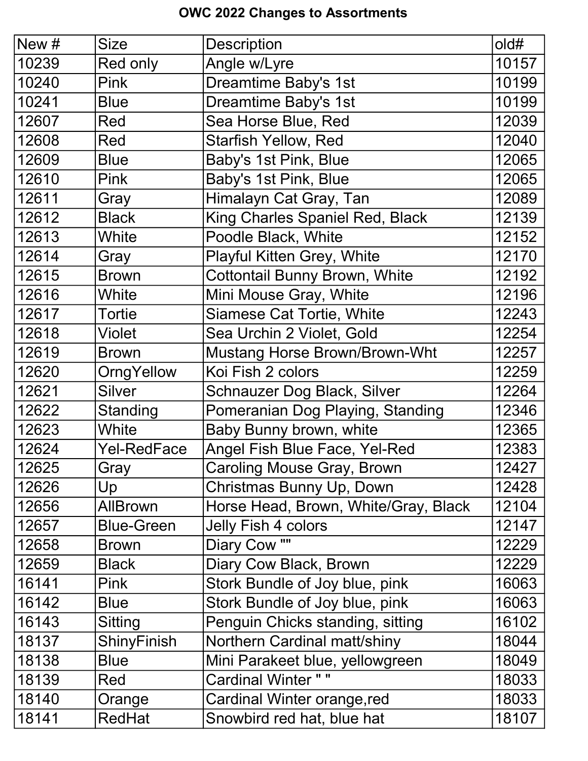## OWC 2022 Changes to Assortments

| New # | <b>Size</b>       | <b>Description</b>                   | old#  |
|-------|-------------------|--------------------------------------|-------|
| 10239 | Red only          | Angle w/Lyre                         | 10157 |
| 10240 | <b>Pink</b>       | Dreamtime Baby's 1st                 | 10199 |
| 10241 | <b>Blue</b>       | Dreamtime Baby's 1st                 | 10199 |
| 12607 | Red               | Sea Horse Blue, Red                  | 12039 |
| 12608 | Red               | <b>Starfish Yellow, Red</b>          | 12040 |
| 12609 | <b>Blue</b>       | Baby's 1st Pink, Blue                | 12065 |
| 12610 | <b>Pink</b>       | Baby's 1st Pink, Blue                | 12065 |
| 12611 | Gray              | Himalayn Cat Gray, Tan               | 12089 |
| 12612 | <b>Black</b>      | King Charles Spaniel Red, Black      | 12139 |
| 12613 | White             | Poodle Black, White                  | 12152 |
| 12614 | Gray              | <b>Playful Kitten Grey, White</b>    | 12170 |
| 12615 | <b>Brown</b>      | <b>Cottontail Bunny Brown, White</b> | 12192 |
| 12616 | White             | Mini Mouse Gray, White               | 12196 |
| 12617 | <b>Tortie</b>     | <b>Siamese Cat Tortie, White</b>     | 12243 |
| 12618 | <b>Violet</b>     | Sea Urchin 2 Violet, Gold            | 12254 |
| 12619 | <b>Brown</b>      | <b>Mustang Horse Brown/Brown-Wht</b> | 12257 |
| 12620 | OrngYellow        | Koi Fish 2 colors                    | 12259 |
| 12621 | <b>Silver</b>     | Schnauzer Dog Black, Silver          | 12264 |
| 12622 | Standing          | Pomeranian Dog Playing, Standing     | 12346 |
| 12623 | White             | Baby Bunny brown, white              | 12365 |
| 12624 | Yel-RedFace       | Angel Fish Blue Face, Yel-Red        | 12383 |
| 12625 | Gray              | Caroling Mouse Gray, Brown           | 12427 |
| 12626 | Up                | Christmas Bunny Up, Down             | 12428 |
| 12656 | <b>AllBrown</b>   | Horse Head, Brown, White/Gray, Black | 12104 |
| 12657 | <b>Blue-Green</b> | <b>Jelly Fish 4 colors</b>           | 12147 |
| 12658 | <b>Brown</b>      | Diary Cow ""                         | 12229 |
| 12659 | <b>Black</b>      | Diary Cow Black, Brown               | 12229 |
| 16141 | <b>Pink</b>       | Stork Bundle of Joy blue, pink       | 16063 |
| 16142 | <b>Blue</b>       | Stork Bundle of Joy blue, pink       | 16063 |
| 16143 | Sitting           | Penguin Chicks standing, sitting     | 16102 |
| 18137 | ShinyFinish       | Northern Cardinal matt/shiny         | 18044 |
| 18138 | <b>Blue</b>       | Mini Parakeet blue, yellowgreen      | 18049 |
| 18139 | Red               | <b>Cardinal Winter "</b>             | 18033 |
| 18140 | Orange            | Cardinal Winter orange, red          | 18033 |
| 18141 | <b>RedHat</b>     | Snowbird red hat, blue hat           | 18107 |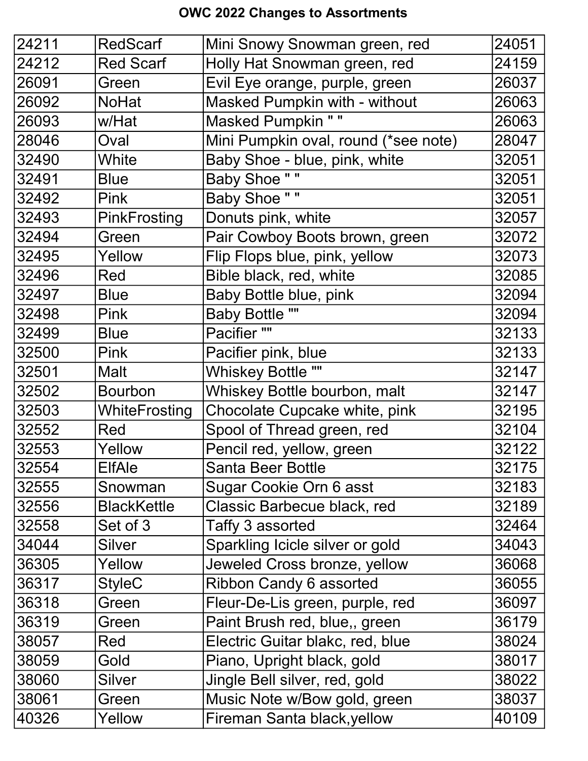## OWC 2022 Changes to Assortments

| 24211 | <b>RedScarf</b>    | Mini Snowy Snowman green, red        | 24051 |
|-------|--------------------|--------------------------------------|-------|
| 24212 | <b>Red Scarf</b>   | Holly Hat Snowman green, red         | 24159 |
| 26091 | Green              | Evil Eye orange, purple, green       | 26037 |
| 26092 | <b>NoHat</b>       | <b>Masked Pumpkin with - without</b> | 26063 |
| 26093 | w/Hat              | <b>Masked Pumpkin ""</b>             | 26063 |
| 28046 | Oval               | Mini Pumpkin oval, round (*see note) | 28047 |
| 32490 | White              | Baby Shoe - blue, pink, white        | 32051 |
| 32491 | <b>Blue</b>        | <b>Baby Shoe ""</b>                  | 32051 |
| 32492 | <b>Pink</b>        | <b>Baby Shoe ""</b>                  | 32051 |
| 32493 | PinkFrosting       | Donuts pink, white                   | 32057 |
| 32494 | Green              | Pair Cowboy Boots brown, green       | 32072 |
| 32495 | Yellow             | Flip Flops blue, pink, yellow        | 32073 |
| 32496 | Red                | Bible black, red, white              | 32085 |
| 32497 | <b>Blue</b>        | Baby Bottle blue, pink               | 32094 |
| 32498 | <b>Pink</b>        | <b>Baby Bottle ""</b>                | 32094 |
| 32499 | <b>Blue</b>        | Pacifier ""                          | 32133 |
| 32500 | <b>Pink</b>        | Pacifier pink, blue                  | 32133 |
| 32501 | Malt               | <b>Whiskey Bottle ""</b>             | 32147 |
| 32502 | <b>Bourbon</b>     | Whiskey Bottle bourbon, malt         | 32147 |
| 32503 | WhiteFrosting      | Chocolate Cupcake white, pink        | 32195 |
| 32552 | Red                | Spool of Thread green, red           | 32104 |
| 32553 | Yellow             | Pencil red, yellow, green            | 32122 |
| 32554 | <b>ElfAle</b>      | <b>Santa Beer Bottle</b>             | 32175 |
| 32555 | Snowman            | Sugar Cookie Orn 6 asst              | 32183 |
| 32556 | <b>BlackKettle</b> | Classic Barbecue black, red          | 32189 |
| 32558 | Set of 3           | Taffy 3 assorted                     | 32464 |
| 34044 | Silver             | Sparkling Icicle silver or gold      | 34043 |
| 36305 | Yellow             | Jeweled Cross bronze, yellow         | 36068 |
| 36317 | <b>StyleC</b>      | <b>Ribbon Candy 6 assorted</b>       | 36055 |
| 36318 | Green              | Fleur-De-Lis green, purple, red      | 36097 |
| 36319 | Green              | Paint Brush red, blue,, green        | 36179 |
| 38057 | Red                | Electric Guitar blakc, red, blue     | 38024 |
| 38059 | Gold               | Piano, Upright black, gold           | 38017 |
| 38060 | <b>Silver</b>      | Jingle Bell silver, red, gold        | 38022 |
| 38061 | Green              | Music Note w/Bow gold, green         | 38037 |
| 40326 | Yellow             | Fireman Santa black, yellow          | 40109 |